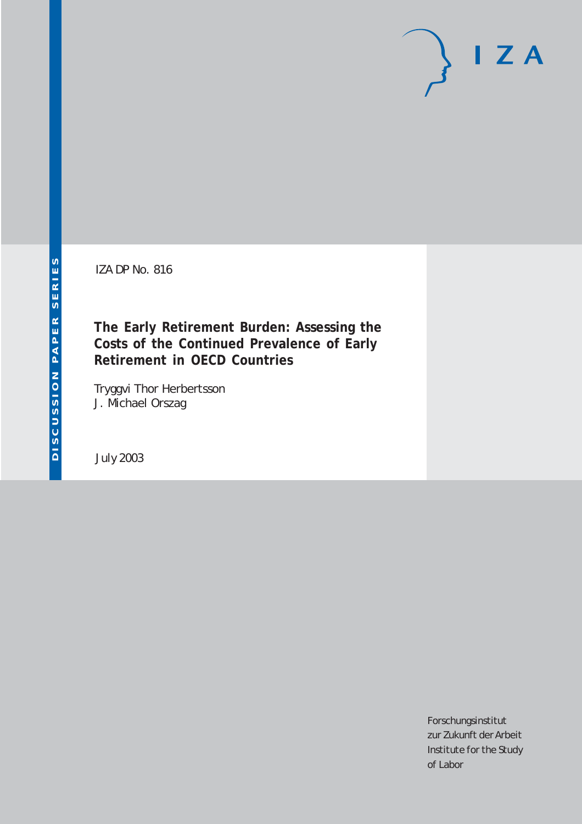IZA DP No. 816

**The Early Retirement Burden: Assessing the Costs of the Continued Prevalence of Early Retirement in OECD Countries**

Tryggvi Thor Herbertsson J. Michael Orszag

July 2003

Forschungsinstitut zur Zukunft der Arbeit Institute for the Study of Labor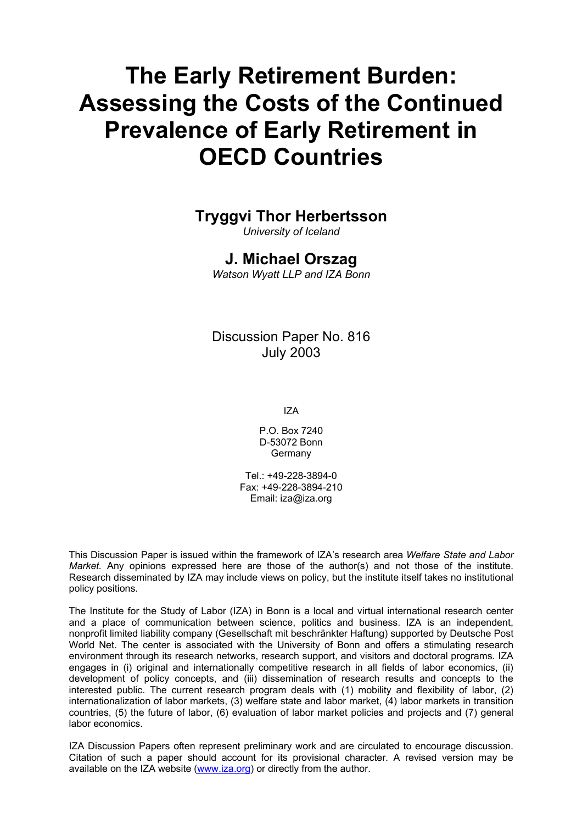# **The Early Retirement Burden: Assessing the Costs of the Continued Prevalence of Early Retirement in OECD Countries**

#### **Tryggvi Thor Herbertsson**

*University of Iceland* 

#### **J. Michael Orszag**

*Watson Wyatt LLP and IZA Bonn* 

#### Discussion Paper No. 816 July 2003

IZA

P.O. Box 7240 D-53072 Bonn **Germany** 

Tel.: +49-228-3894-0 Fax: +49-228-3894-210 Email: [iza@iza.org](mailto:iza@iza.org)

This Discussion Paper is issued within the framework of IZA's research area *Welfare State and Labor Market.* Any opinions expressed here are those of the author(s) and not those of the institute. Research disseminated by IZA may include views on policy, but the institute itself takes no institutional policy positions.

The Institute for the Study of Labor (IZA) in Bonn is a local and virtual international research center and a place of communication between science, politics and business. IZA is an independent, nonprofit limited liability company (Gesellschaft mit beschränkter Haftung) supported by Deutsche Post World Net. The center is associated with the University of Bonn and offers a stimulating research environment through its research networks, research support, and visitors and doctoral programs. IZA engages in (i) original and internationally competitive research in all fields of labor economics, (ii) development of policy concepts, and (iii) dissemination of research results and concepts to the interested public. The current research program deals with (1) mobility and flexibility of labor, (2) internationalization of labor markets, (3) welfare state and labor market, (4) labor markets in transition countries, (5) the future of labor, (6) evaluation of labor market policies and projects and (7) general labor economics.

IZA Discussion Papers often represent preliminary work and are circulated to encourage discussion. Citation of such a paper should account for its provisional character. A revised version may be available on the IZA website ([www.iza.org](http://www.iza.org/)) or directly from the author.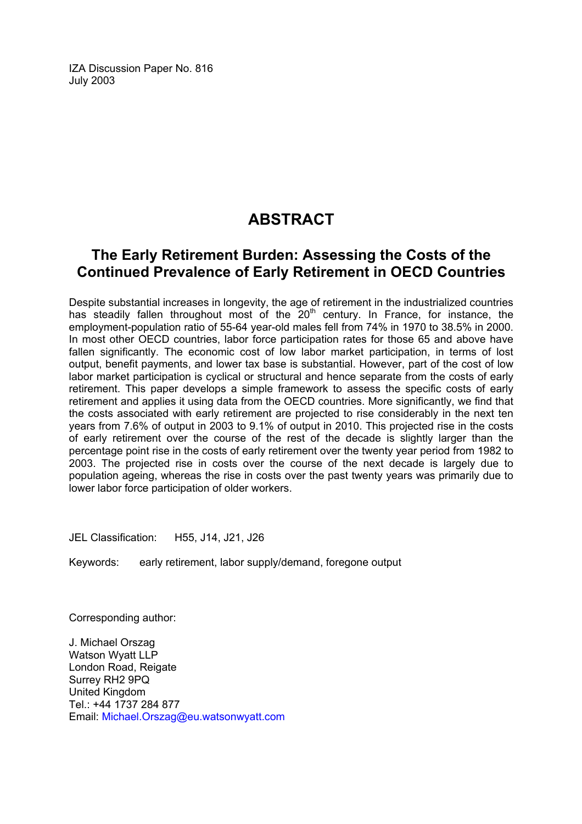IZA Discussion Paper No. 816 July 2003

### **ABSTRACT**

#### **The Early Retirement Burden: Assessing the Costs of the Continued Prevalence of Early Retirement in OECD Countries**

Despite substantial increases in longevity, the age of retirement in the industrialized countries has steadily fallen throughout most of the  $20<sup>th</sup>$  century. In France, for instance, the employment-population ratio of 55-64 year-old males fell from 74% in 1970 to 38.5% in 2000. In most other OECD countries, labor force participation rates for those 65 and above have fallen significantly. The economic cost of low labor market participation, in terms of lost output, benefit payments, and lower tax base is substantial. However, part of the cost of low labor market participation is cyclical or structural and hence separate from the costs of early retirement. This paper develops a simple framework to assess the specific costs of early retirement and applies it using data from the OECD countries. More significantly, we find that the costs associated with early retirement are projected to rise considerably in the next ten years from 7.6% of output in 2003 to 9.1% of output in 2010. This projected rise in the costs of early retirement over the course of the rest of the decade is slightly larger than the percentage point rise in the costs of early retirement over the twenty year period from 1982 to 2003. The projected rise in costs over the course of the next decade is largely due to population ageing, whereas the rise in costs over the past twenty years was primarily due to lower labor force participation of older workers.

JEL Classification: H55, J14, J21, J26

Keywords: early retirement, labor supply/demand, foregone output

Corresponding author:

J. Michael Orszag Watson Wyatt LLP London Road, Reigate Surrey RH2 9PQ United Kingdom Tel.: +44 1737 284 877 Email: [Michael.Orszag@eu.watsonwyatt.com](mailto:Michael.Orszag@eu.watsonwyatt.com)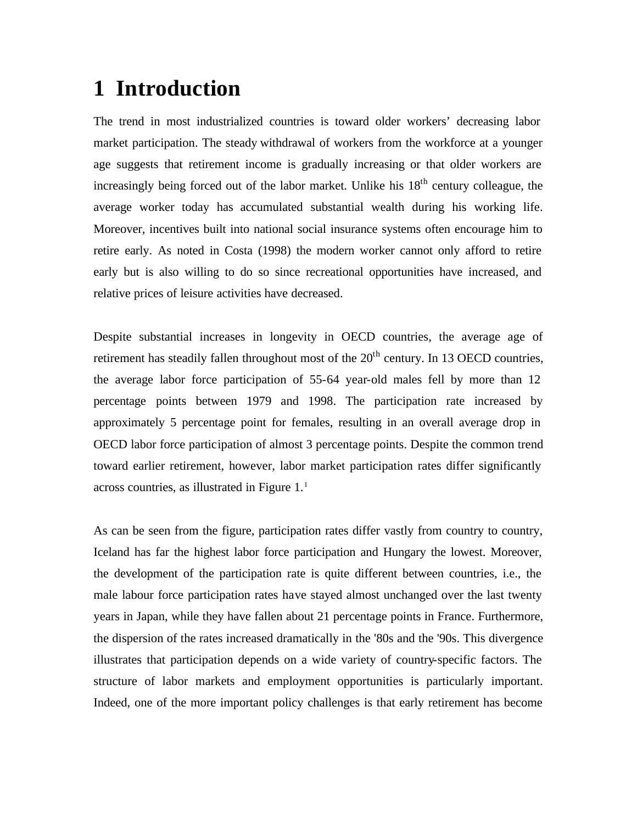## **1 Introduction**

The trend in most industrialized countries is toward older workers' decreasing labor market participation. The steady withdrawal of workers from the workforce at a younger age suggests that retirement income is gradually increasing or that older workers are increasingly being forced out of the labor market. Unlike his  $18<sup>th</sup>$  century colleague, the average worker today has accumulated substantial wealth during his working life. Moreover, incentives built into national social insurance systems often encourage him to retire early. As noted in Costa (1998) the modern worker cannot only afford to retire early but is also willing to do so since recreational opportunities have increased, and relative prices of leisure activities have decreased.

Despite substantial increases in longevity in OECD countries, the average age of retirement has steadily fallen throughout most of the  $20<sup>th</sup>$  century. In 13 OECD countries, the average labor force participation of 55-64 year-old males fell by more than 12 percentage points between 1979 and 1998. The participation rate increased by approximately 5 percentage point for females, resulting in an overall average drop in OECD labor force participation of almost 3 percentage points. Despite the common trend toward earlier retirement, however, labor market participation rates differ significantly across countries, as illustrated in Figure 1.<sup>1</sup>

As can be seen from the figure, participation rates differ vastly from country to country, Iceland has far the highest labor force participation and Hungary the lowest. Moreover, the development of the participation rate is quite different between countries, i.e., the male labour force participation rates have stayed almost unchanged over the last twenty years in Japan, while they have fallen about 21 percentage points in France. Furthermore, the dispersion of the rates increased dramatically in the '80s and the '90s. This divergence illustrates that participation depends on a wide variety of country-specific factors. The structure of labor markets and employment opportunities is particularly important. Indeed, one of the more important policy challenges is that early retirement has become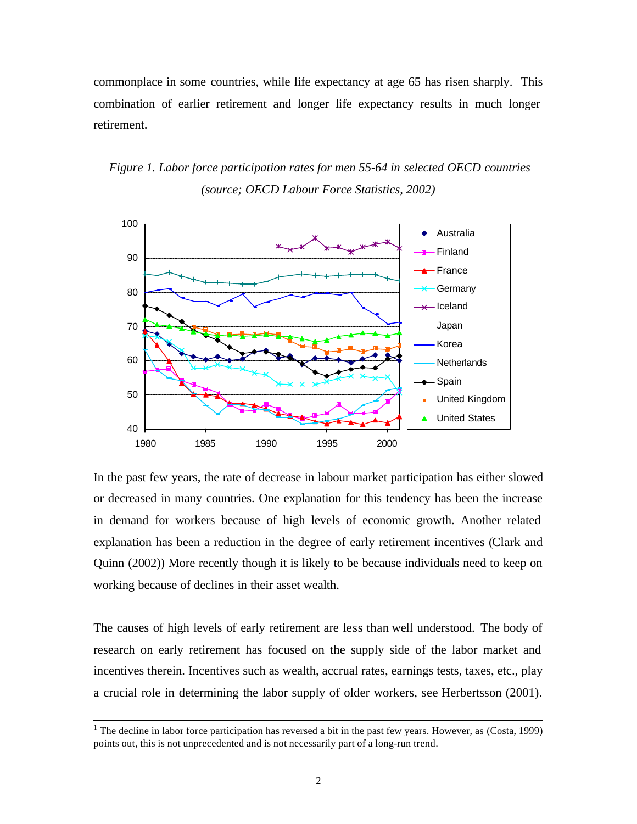commonplace in some countries, while life expectancy at age 65 has risen sharply. This combination of earlier retirement and longer life expectancy results in much longer retirement.

*Figure 1. Labor force participation rates for men 55-64 in selected OECD countries (source; OECD Labour Force Statistics, 2002)*



In the past few years, the rate of decrease in labour market participation has either slowed or decreased in many countries. One explanation for this tendency has been the increase in demand for workers because of high levels of economic growth. Another related explanation has been a reduction in the degree of early retirement incentives (Clark and Quinn (2002)) More recently though it is likely to be because individuals need to keep on working because of declines in their asset wealth.

The causes of high levels of early retirement are less than well understood. The body of research on early retirement has focused on the supply side of the labor market and incentives therein. Incentives such as wealth, accrual rates, earnings tests, taxes, etc., play a crucial role in determining the labor supply of older workers, see Herbertsson (2001).

<sup>&</sup>lt;sup>1</sup> The decline in labor force participation has reversed a bit in the past few years. However, as (Costa, 1999) points out, this is not unprecedented and is not necessarily part of a long-run trend.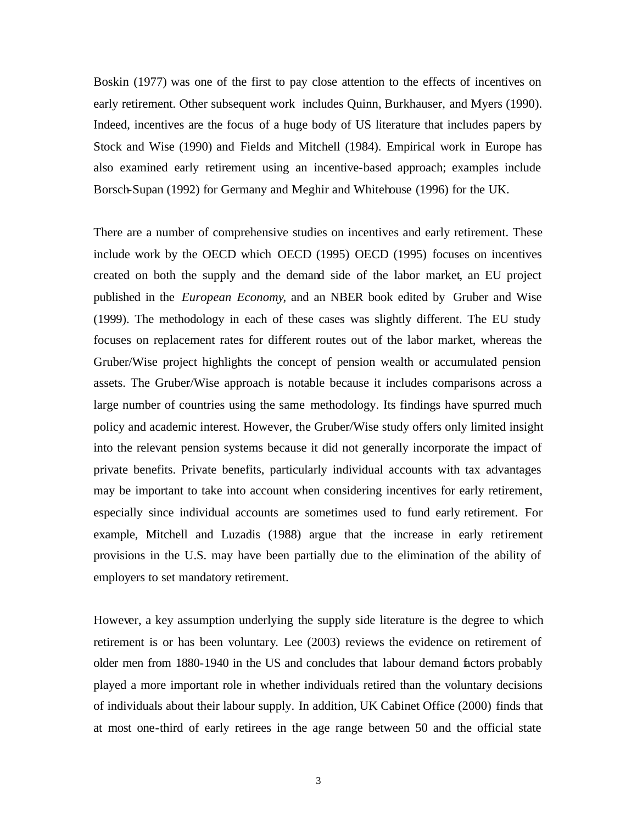Boskin (1977) was one of the first to pay close attention to the effects of incentives on early retirement. Other subsequent work includes Quinn, Burkhauser, and Myers (1990). Indeed, incentives are the focus of a huge body of US literature that includes papers by Stock and Wise (1990) and Fields and Mitchell (1984). Empirical work in Europe has also examined early retirement using an incentive-based approach; examples include Borsch-Supan (1992) for Germany and Meghir and Whitehouse (1996) for the UK.

There are a number of comprehensive studies on incentives and early retirement. These include work by the OECD which OECD (1995) OECD (1995) focuses on incentives created on both the supply and the demand side of the labor market, an EU project published in the *European Economy*, and an NBER book edited by Gruber and Wise (1999). The methodology in each of these cases was slightly different. The EU study focuses on replacement rates for different routes out of the labor market, whereas the Gruber/Wise project highlights the concept of pension wealth or accumulated pension assets. The Gruber/Wise approach is notable because it includes comparisons across a large number of countries using the same methodology. Its findings have spurred much policy and academic interest. However, the Gruber/Wise study offers only limited insight into the relevant pension systems because it did not generally incorporate the impact of private benefits. Private benefits, particularly individual accounts with tax advantages may be important to take into account when considering incentives for early retirement, especially since individual accounts are sometimes used to fund early retirement. For example, Mitchell and Luzadis (1988) argue that the increase in early retirement provisions in the U.S. may have been partially due to the elimination of the ability of employers to set mandatory retirement.

However, a key assumption underlying the supply side literature is the degree to which retirement is or has been voluntary. Lee (2003) reviews the evidence on retirement of older men from 1880-1940 in the US and concludes that labour demand factors probably played a more important role in whether individuals retired than the voluntary decisions of individuals about their labour supply. In addition, UK Cabinet Office (2000) finds that at most one-third of early retirees in the age range between 50 and the official state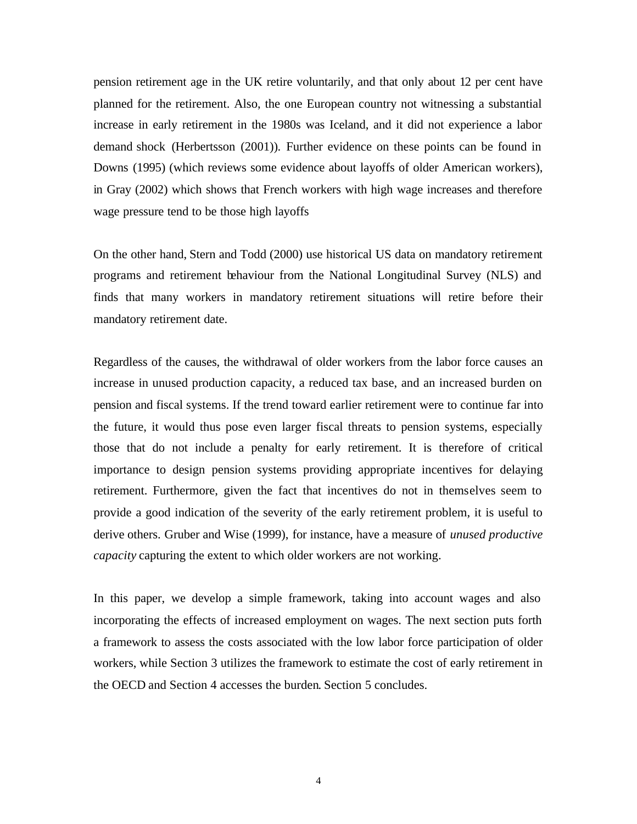pension retirement age in the UK retire voluntarily, and that only about 12 per cent have planned for the retirement. Also, the one European country not witnessing a substantial increase in early retirement in the 1980s was Iceland, and it did not experience a labor demand shock (Herbertsson (2001)). Further evidence on these points can be found in Downs (1995) (which reviews some evidence about layoffs of older American workers), in Gray (2002) which shows that French workers with high wage increases and therefore wage pressure tend to be those high layoffs

On the other hand, Stern and Todd (2000) use historical US data on mandatory retirement programs and retirement behaviour from the National Longitudinal Survey (NLS) and finds that many workers in mandatory retirement situations will retire before their mandatory retirement date.

Regardless of the causes, the withdrawal of older workers from the labor force causes an increase in unused production capacity, a reduced tax base, and an increased burden on pension and fiscal systems. If the trend toward earlier retirement were to continue far into the future, it would thus pose even larger fiscal threats to pension systems, especially those that do not include a penalty for early retirement. It is therefore of critical importance to design pension systems providing appropriate incentives for delaying retirement. Furthermore, given the fact that incentives do not in themselves seem to provide a good indication of the severity of the early retirement problem, it is useful to derive others. Gruber and Wise (1999), for instance, have a measure of *unused productive capacity* capturing the extent to which older workers are not working.

In this paper, we develop a simple framework, taking into account wages and also incorporating the effects of increased employment on wages. The next section puts forth a framework to assess the costs associated with the low labor force participation of older workers, while Section 3 utilizes the framework to estimate the cost of early retirement in the OECD and Section 4 accesses the burden. Section 5 concludes.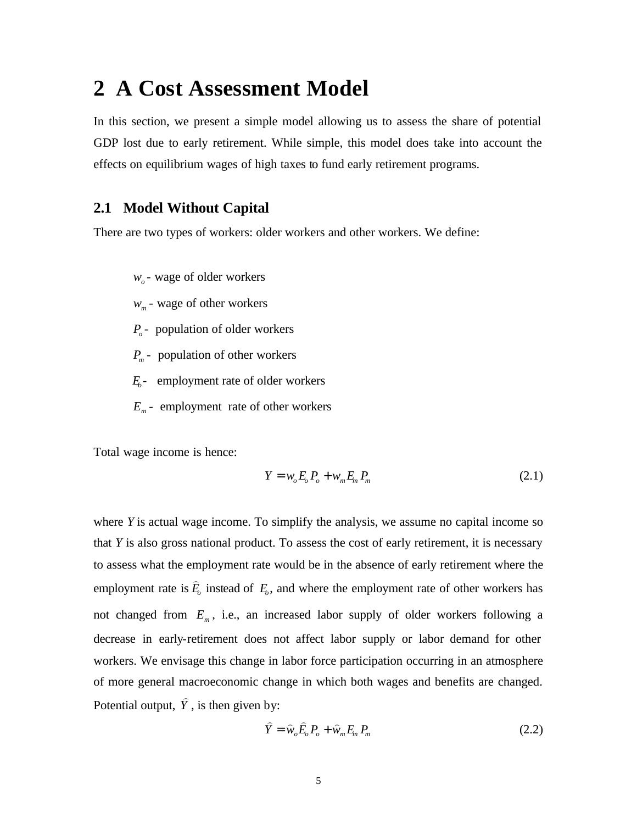### **2 A Cost Assessment Model**

In this section, we present a simple model allowing us to assess the share of potential GDP lost due to early retirement. While simple, this model does take into account the effects on equilibrium wages of high taxes to fund early retirement programs.

#### **2.1 Model Without Capital**

There are two types of workers: older workers and other workers. We define:

- *wo* wage of older workers
- *wm* wage of other workers
- *Po* population of older workers
- *Pm* population of other workers
- *Eo* employment rate of older workers
- *Em* employment rate of other workers

Total wage income is hence:

$$
Y = w_o E_o P_o + w_m E_m P_m
$$
 (2.1)

where *Y* is actual wage income. To simplify the analysis, we assume no capital income so that *Y* is also gross national product. To assess the cost of early retirement, it is necessary to assess what the employment rate would be in the absence of early retirement where the employment rate is *E<sup>o</sup>*  $\overline{a}$ instead of  $E<sub>o</sub>$ , and where the employment rate of other workers has not changed from *E<sup>m</sup>* , i.e., an increased labor supply of older workers following a decrease in early-retirement does not affect labor supply or labor demand for other workers. We envisage this change in labor force participation occurring in an atmosphere of more general macroeconomic change in which both wages and benefits are changed. Potential output, *Y* ) , is then given by:

$$
\hat{Y} = \hat{w}_o \hat{E}_o P_o + \hat{w}_m E_m P_m \tag{2.2}
$$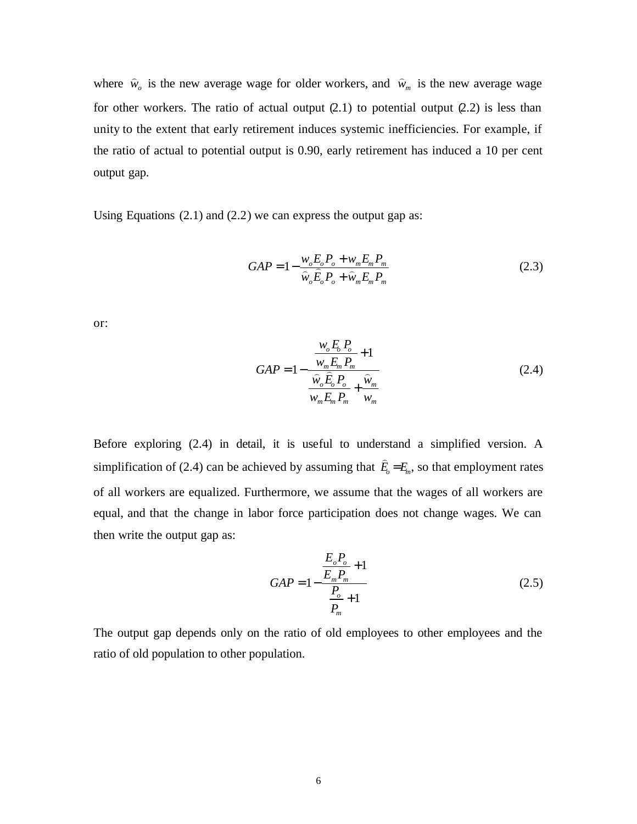where  $\hat{w}_o$  is the new average wage for older workers, and  $\hat{w}_m$  is the new average wage for other workers. The ratio of actual output  $(2.1)$  to potential output  $(2.2)$  is less than unity to the extent that early retirement induces systemic inefficiencies. For example, if the ratio of actual to potential output is 0.90, early retirement has induced a 10 per cent output gap.

Using Equations  $(2.1)$  and  $(2.2)$  we can express the output gap as:

$$
GAP = 1 - \frac{w_o E_o P_o + w_m E_m P_m}{\hat{w}_o \hat{E}_o P_o + \hat{w}_m E_m P_m}
$$
(2.3)

or:

$$
GAP = 1 - \frac{\frac{w_o E_o P_o}{w_m E_m P_m} + 1}{\frac{\hat{w}_o \hat{E}_o P_o}{w_m E_m P_m} + \frac{\hat{w}_m}{w_m}}
$$
(2.4)

Before exploring (2.4) in detail, it is useful to understand a simplified version. A simplification of (2.4) can be achieved by assuming that  $\hat{E}_o = E_m$  $\overline{a}$ , so that employment rates of all workers are equalized. Furthermore, we assume that the wages of all workers are equal, and that the change in labor force participation does not change wages. We can then write the output gap as:

$$
GAP = 1 - \frac{\frac{E_o P_o}{E_m P_m} + 1}{\frac{P_o}{P_m} + 1}
$$
\n(2.5)

The output gap depends only on the ratio of old employees to other employees and the ratio of old population to other population.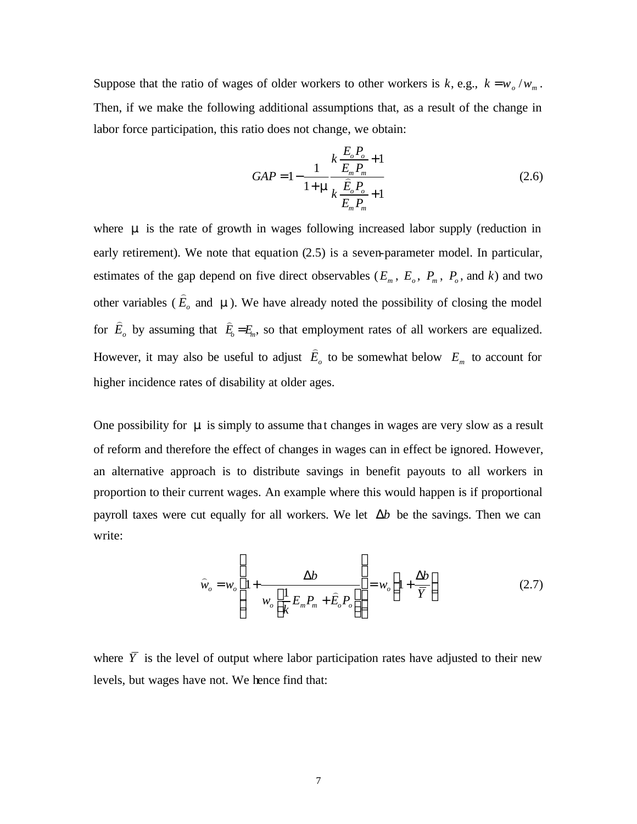Suppose that the ratio of wages of older workers to other workers is  $k$ , e.g.,  $k = w_o/w_m$ . Then, if we make the following additional assumptions that, as a result of the change in labor force participation, this ratio does not change, we obtain:

$$
GAP = 1 - \frac{1}{1 + m} \frac{k \frac{E_o P_o}{E_m P_m} + 1}{k \frac{\hat{E}_o P_o}{E_m P_m} + 1}
$$
(2.6)

where **m** is the rate of growth in wages following increased labor supply (reduction in early retirement). We note that equation (2.5) is a seven-parameter model. In particular, estimates of the gap depend on five direct observables ( $E_m$ ,  $E_o$ ,  $P_m$ ,  $P_o$ , and  $k$ ) and two other variables ( *E<sup>o</sup>*  $\overline{\phantom{0}}$ and **m**). We have already noted the possibility of closing the model for *E<sup>o</sup>*  $\overline{\phantom{0}}$ by assuming that  $\hat{E}_o = E_m$  $\overline{a}$ , so that employment rates of all workers are equalized. However, it may also be useful to adjust *E<sup>o</sup>*  $\overline{\phantom{0}}$ to be somewhat below  $E_m$  to account for higher incidence rates of disability at older ages.

One possibility for **m** is simply to assume that changes in wages are very slow as a result of reform and therefore the effect of changes in wages can in effect be ignored. However, an alternative approach is to distribute savings in benefit payouts to all workers in proportion to their current wages. An example where this would happen is if proportional payroll taxes were cut equally for all workers. We let  $\Delta b$  be the savings. Then we can write:

$$
\widehat{w}_o = w_o \left( 1 + \frac{\Delta b}{w_o \left[ \frac{1}{k} E_m P_m + \widehat{E}_o P_o \right]} \right) = w_o \left( 1 + \frac{\Delta b}{\overline{Y}} \right)
$$
\n(2.7)

where  $\overline{Y}$  is the level of output where labor participation rates have adjusted to their new levels, but wages have not. We hence find that: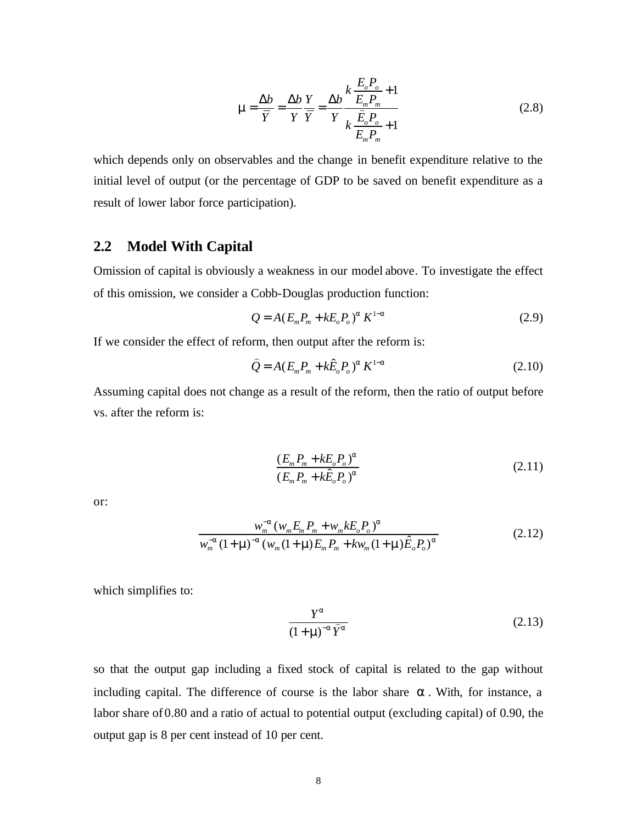$$
\mathbf{m} = \frac{\Delta b}{\overline{Y}} = \frac{\Delta b}{Y} \frac{Y}{\overline{Y}} = \frac{\Delta b}{Y} \frac{k \frac{E_o P_o}{E_m P_m} + 1}{k \frac{\widehat{E}_o P_o}{E_m P_m} + 1}
$$
(2.8)

which depends only on observables and the change in benefit expenditure relative to the initial level of output (or the percentage of GDP to be saved on benefit expenditure as a result of lower labor force participation).

#### **2.2 Model With Capital**

Omission of capital is obviously a weakness in our model above. To investigate the effect of this omission, we consider a Cobb-Douglas production function:

$$
Q = A(E_m P_m + kE_o P_o)^a K^{1-a}
$$
 (2.9)

If we consider the effect of reform, then output after the reform is:

$$
\hat{Q} = A(E_m P_m + k\hat{E}_o P_o)^a K^{1-a}
$$
\n(2.10)

Assuming capital does not change as a result of the reform, then the ratio of output before vs. after the reform is:

$$
\frac{(E_m P_m + kE_o P_o)^a}{(E_m P_m + k\hat{E}_o P_o)^a}
$$
\n(2.11)

or:

$$
\frac{w_m^{-a} (w_m E_m P_m + w_m k E_o P_o)^a}{w_m^{-a} (1 + \mathbf{m})^{-a} (w_m (1 + \mathbf{m}) E_m P_m + k w_m (1 + \mathbf{m}) \hat{E}_o P_o)^a}
$$
(2.12)

which simplifies to:

$$
\frac{Y^a}{\left(1+\mathbf{m}\right)^{-a}\widehat{Y}^a} \tag{2.13}
$$

so that the output gap including a fixed stock of capital is related to the gap without including capital. The difference of course is the labor share *a* . With, for instance, a labor share of 0.80 and a ratio of actual to potential output (excluding capital) of 0.90, the output gap is 8 per cent instead of 10 per cent.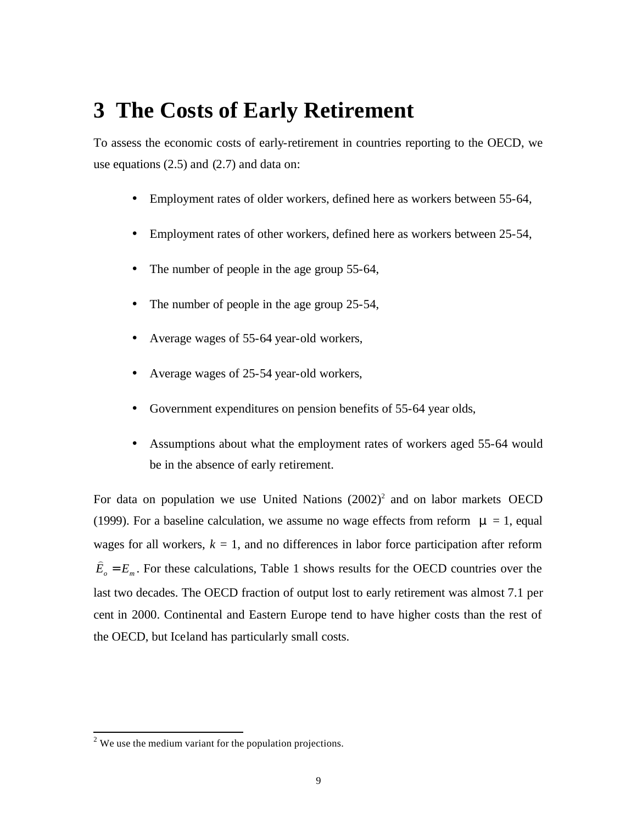### **3 The Costs of Early Retirement**

To assess the economic costs of early-retirement in countries reporting to the OECD, we use equations  $(2.5)$  and  $(2.7)$  and data on:

- Employment rates of older workers, defined here as workers between 55-64,
- Employment rates of other workers, defined here as workers between 25-54,
- The number of people in the age group 55-64,
- The number of people in the age group 25-54,
- Average wages of 55-64 year-old workers,
- Average wages of 25-54 year-old workers,
- Government expenditures on pension benefits of 55-64 year olds,
- Assumptions about what the employment rates of workers aged 55-64 would be in the absence of early retirement.

For data on population we use United Nations  $(2002)^2$  and on labor markets OECD (1999). For a baseline calculation, we assume no wage effects from reform  $\mathbf{m} = 1$ , equal wages for all workers,  $k = 1$ , and no differences in labor force participation after reform  $\hat{E}_o = E_m$  $\overline{a}$ . For these calculations, Table 1 shows results for the OECD countries over the last two decades. The OECD fraction of output lost to early retirement was almost 7.1 per cent in 2000. Continental and Eastern Europe tend to have higher costs than the rest of the OECD, but Iceland has particularly small costs.

l

 $2$  We use the medium variant for the population projections.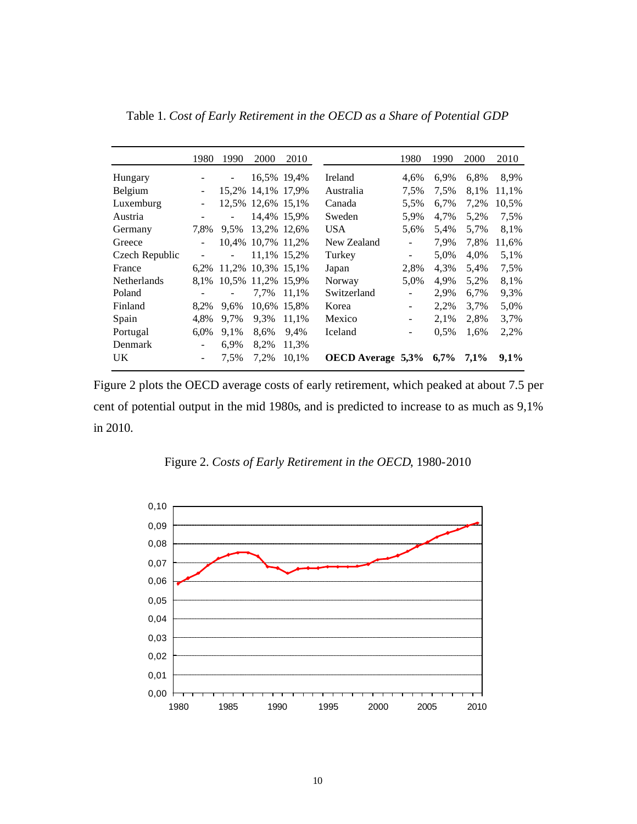|                | 1980 | 1990                     | 2000              | 2010        |                          | 1980                     | 1990 | 2000 | 2010  |
|----------------|------|--------------------------|-------------------|-------------|--------------------------|--------------------------|------|------|-------|
| Hungary        |      | $\overline{\phantom{a}}$ |                   | 16,5% 19,4% | Ireland                  | 4,6%                     | 6.9% | 6,8% | 8,9%  |
| Belgium        |      |                          | 15,2% 14,1% 17,9% |             | Australia                | 7.5%                     | 7,5% | 8.1% | 11,1% |
| Luxemburg      |      |                          | 12,5% 12,6% 15,1% |             | Canada                   | 5,5%                     | 6,7% | 7,2% | 10,5% |
| Austria        |      |                          |                   | 14,4% 15,9% | Sweden                   | 5,9%                     | 4,7% | 5,2% | 7.5%  |
| Germany        | 7.8% | 9.5%                     | 13,2% 12,6%       |             | <b>USA</b>               | 5,6%                     | 5,4% | 5,7% | 8,1%  |
| Greece         |      | 10.4%                    | 10,7% 11,2%       |             | New Zealand              | $\overline{\phantom{0}}$ | 7.9% | 7,8% | 11,6% |
| Czech Republic |      |                          |                   | 11,1% 15,2% | Turkey                   | $\overline{\phantom{0}}$ | 5,0% | 4,0% | 5,1%  |
| France         | 6.2% | 11.2%                    | 10.3% 15.1%       |             | Japan                    | 2,8%                     | 4,3% | 5,4% | 7,5%  |
| Netherlands    | 8,1% | 10.5%                    | 11,2%             | 15,9%       | Norway                   | 5,0%                     | 4,9% | 5,2% | 8,1%  |
| Poland         |      | $\overline{\phantom{a}}$ | 7.7%              | 11,1%       | Switzerland              | -                        | 2,9% | 6,7% | 9,3%  |
| Finland        | 8,2% | 9.6%                     | 10.6%             | 15,8%       | Korea                    |                          | 2,2% | 3,7% | 5,0%  |
| Spain          | 4,8% | 9,7%                     | 9.3%              | 11,1%       | Mexico                   |                          | 2,1% | 2,8% | 3,7%  |
| Portugal       | 6,0% | 9.1%                     | 8,6%              | 9,4%        | Iceland                  |                          | 0.5% | 1,6% | 2,2%  |
| Denmark        |      | 6,9%                     | 8,2%              | 11,3%       |                          |                          |      |      |       |
| UK.            |      | 7.5%                     | 7,2%              | 10,1%       | <b>OECD</b> Average 5,3% |                          | 6,7% | 7,1% | 9,1%  |

Table 1. *Cost of Early Retirement in the OECD as a Share of Potential GDP*

Figure 2 plots the OECD average costs of early retirement, which peaked at about 7.5 per cent of potential output in the mid 1980s, and is predicted to increase to as much as 9,1% in 2010.

Figure 2. *Costs of Early Retirement in the OECD*, 1980-2010

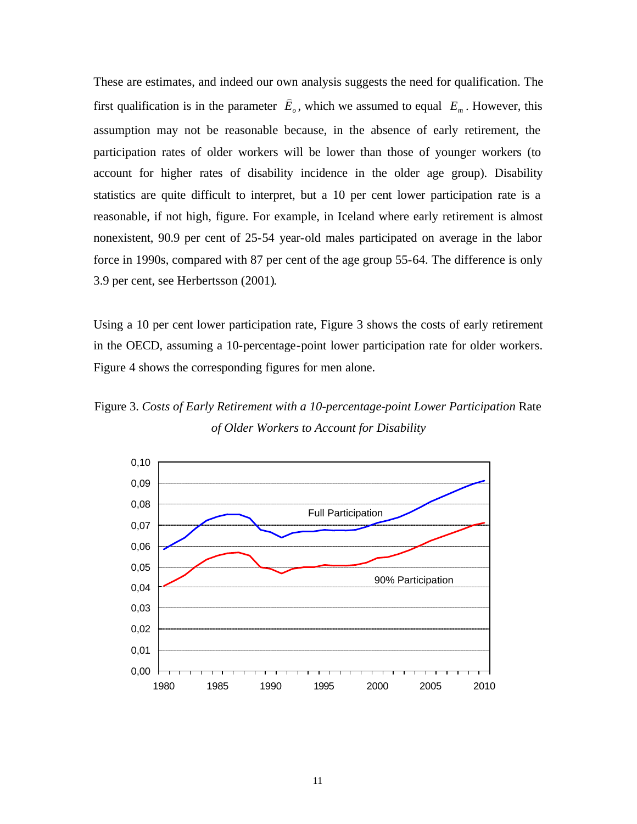These are estimates, and indeed our own analysis suggests the need for qualification. The first qualification is in the parameter *E<sup>o</sup>*  $\overline{a}$ , which we assumed to equal  $E_m$ . However, this assumption may not be reasonable because, in the absence of early retirement, the participation rates of older workers will be lower than those of younger workers (to account for higher rates of disability incidence in the older age group). Disability statistics are quite difficult to interpret, but a 10 per cent lower participation rate is a reasonable, if not high, figure. For example, in Iceland where early retirement is almost nonexistent, 90.9 per cent of 25-54 year-old males participated on average in the labor force in 1990s, compared with 87 per cent of the age group 55-64. The difference is only 3.9 per cent, see Herbertsson (2001).

Using a 10 per cent lower participation rate, Figure 3 shows the costs of early retirement in the OECD, assuming a 10-percentage-point lower participation rate for older workers. Figure 4 shows the corresponding figures for men alone.

Figure 3. *Costs of Early Retirement with a 10-percentage-point Lower Participation* Rate *of Older Workers to Account for Disability*

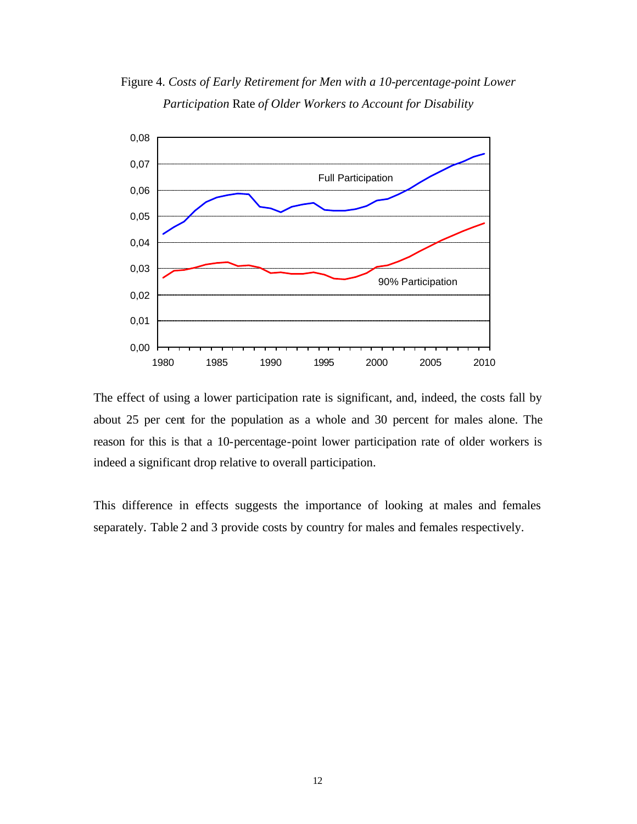Figure 4. *Costs of Early Retirement for Men with a 10-percentage-point Lower Participation* Rate *of Older Workers to Account for Disability*



The effect of using a lower participation rate is significant, and, indeed, the costs fall by about 25 per cent for the population as a whole and 30 percent for males alone. The reason for this is that a 10-percentage-point lower participation rate of older workers is indeed a significant drop relative to overall participation.

This difference in effects suggests the importance of looking at males and females separately. Table 2 and 3 provide costs by country for males and females respectively.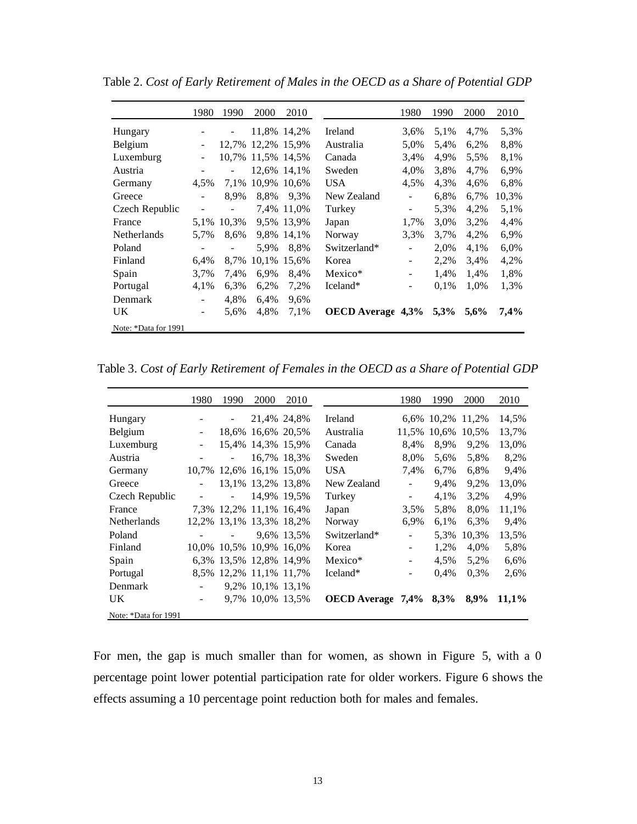|                      | 1980                     | 1990                     | 2000  | 2010        |                   | 1980 | 1990 | 2000 | 2010  |
|----------------------|--------------------------|--------------------------|-------|-------------|-------------------|------|------|------|-------|
| Hungary              |                          |                          |       | 11,8% 14,2% | Ireland           | 3.6% | 5,1% | 4,7% | 5,3%  |
| Belgium              |                          | 12.7%                    | 12.2% | 15.9%       | Australia         | 5,0% | 5,4% | 6,2% | 8,8%  |
| Luxemburg            | -                        | 10.7%                    | 11,5% | 14.5%       | Canada            | 3.4% | 4,9% | 5,5% | 8,1%  |
| Austria              |                          | $\overline{\phantom{a}}$ |       | 12.6% 14.1% | Sweden            | 4,0% | 3.8% | 4,7% | 6.9%  |
| Germany              | 4.5%                     | 7.1%                     | 10.9% | 10.6%       | <b>USA</b>        | 4,5% | 4,3% | 4,6% | 6,8%  |
| Greece               |                          | 8,9%                     | 8.8%  | 9.3%        | New Zealand       | ۰    | 6,8% | 6,7% | 10,3% |
| Czech Republic       | $\overline{\phantom{a}}$ | $\overline{\phantom{a}}$ |       | 7,4% 11,0%  | Turkey            | -    | 5,3% | 4,2% | 5,1%  |
| France               | 5,1%                     | 10.3%                    |       | 9.5% 13.9%  | Japan             | 1,7% | 3,0% | 3,2% | 4,4%  |
| <b>Netherlands</b>   | 5,7%                     | 8,6%                     | 9.8%  | 14,1%       | Norway            | 3,3% | 3.7% | 4,2% | 6,9%  |
| Poland               |                          | $\overline{\phantom{a}}$ | 5,9%  | 8,8%        | Switzerland*      | -    | 2,0% | 4,1% | 6,0%  |
| Finland              | 6.4%                     | 8,7%                     | 10,1% | 15,6%       | Korea             | -    | 2,2% | 3.4% | 4,2%  |
| Spain                | 3,7%                     | 7,4%                     | 6.9%  | 8,4%        | Mexico*           | -    | 1,4% | 1,4% | 1,8%  |
| Portugal             | 4,1%                     | 6,3%                     | 6,2%  | 7,2%        | Iceland*          | -    | 0.1% | 1,0% | 1.3%  |
| <b>Denmark</b>       | -                        | 4,8%                     | 6,4%  | 9,6%        |                   |      |      |      |       |
| UK.                  | $\overline{\phantom{0}}$ | 5,6%                     | 4,8%  | 7.1%        | OECD Average 4,3% |      | 5,3% | 5,6% | 7,4%  |
| Note: *Data for 1991 |                          |                          |       |             |                   |      |      |      |       |

Table 2. *Cost of Early Retirement of Males in the OECD as a Share of Potential GDP*

Table 3. *Cost of Early Retirement of Females in the OECD as a Share of Potential GDP*

|                      | 1980  | 1990                     | 2000              | 2010        |                          | 1980                     | 1990       | 2000  | 2010  |
|----------------------|-------|--------------------------|-------------------|-------------|--------------------------|--------------------------|------------|-------|-------|
| Hungary              |       |                          |                   | 21,4% 24,8% | Ireland                  |                          | 6,6% 10,2% | 11,2% | 14,5% |
| Belgium              |       |                          | 18,6% 16,6% 20,5% |             | Australia                | 11,5%                    | 10.6%      | 10.5% | 13,7% |
| Luxemburg            |       |                          | 15,4% 14,3% 15,9% |             | Canada                   | 8,4%                     | 8.9%       | 9,2%  | 13,0% |
| Austria              |       |                          |                   | 16.7% 18.3% | Sweden                   | 8,0%                     | 5,6%       | 5,8%  | 8,2%  |
| Germany              | 10.7% |                          | 12,6% 16,1% 15,0% |             | <b>USA</b>               | 7.4%                     | 6,7%       | 6,8%  | 9,4%  |
| Greece               |       |                          | 13.1% 13.2% 13.8% |             | New Zealand              | $\overline{\phantom{a}}$ | 9.4%       | 9.2%  | 13,0% |
| Czech Republic       |       | $\overline{\phantom{a}}$ |                   | 14,9% 19,5% | Turkey                   | $\overline{\phantom{a}}$ | 4,1%       | 3,2%  | 4,9%  |
| France               |       | 7,3% 12,2% 11,1% 16,4%   |                   |             | Japan                    | 3,5%                     | 5,8%       | 8,0%  | 11,1% |
| <b>Netherlands</b>   |       | 12,2% 13,1% 13,3% 18,2%  |                   |             | Norway                   | 6,9%                     | 6.1%       | 6,3%  | 9,4%  |
| Poland               |       | $\overline{\phantom{a}}$ |                   | 9.6% 13.5%  | Switzerland*             |                          | 5,3%       | 10,3% | 13,5% |
| Finland              |       | 10,0% 10,5% 10,9% 16,0%  |                   |             | Korea                    |                          | 1.2%       | 4,0%  | 5,8%  |
| Spain                |       | 6.3% 13.5% 12.8% 14.9%   |                   |             | Mexico*                  | ٠                        | 4.5%       | 5,2%  | 6,6%  |
| Portugal             |       | 8.5% 12.2% 11.1% 11.7%   |                   |             | Iceland*                 |                          | $0.4\%$    | 0.3%  | 2,6%  |
| Denmark              |       |                          | 9,2% 10,1% 13,1%  |             |                          |                          |            |       |       |
| UK.                  |       |                          | 9,7% 10,0% 13,5%  |             | <b>OECD</b> Average 7,4% |                          | 8,3%       | 8,9%  | 11,1% |
| Note: *Data for 1991 |       |                          |                   |             |                          |                          |            |       |       |

For men, the gap is much smaller than for women, as shown in Figure 5, with a 0 percentage point lower potential participation rate for older workers. Figure 6 shows the effects assuming a 10 percentage point reduction both for males and females.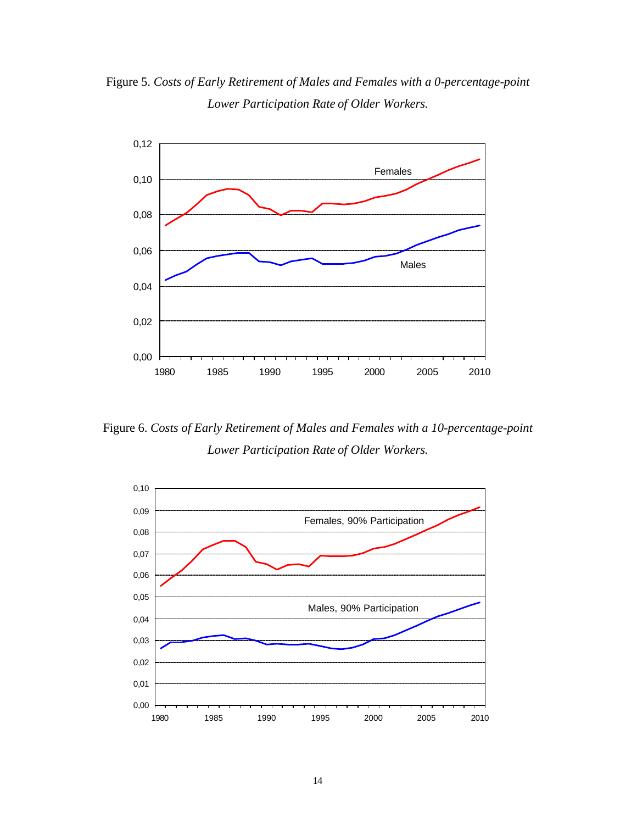Figure 5. *Costs of Early Retirement of Males and Females with a 0-percentage-point Lower Participation Rate of Older Workers.*



Figure 6. *Costs of Early Retirement of Males and Females with a 10-percentage-point Lower Participation Rate of Older Workers.*

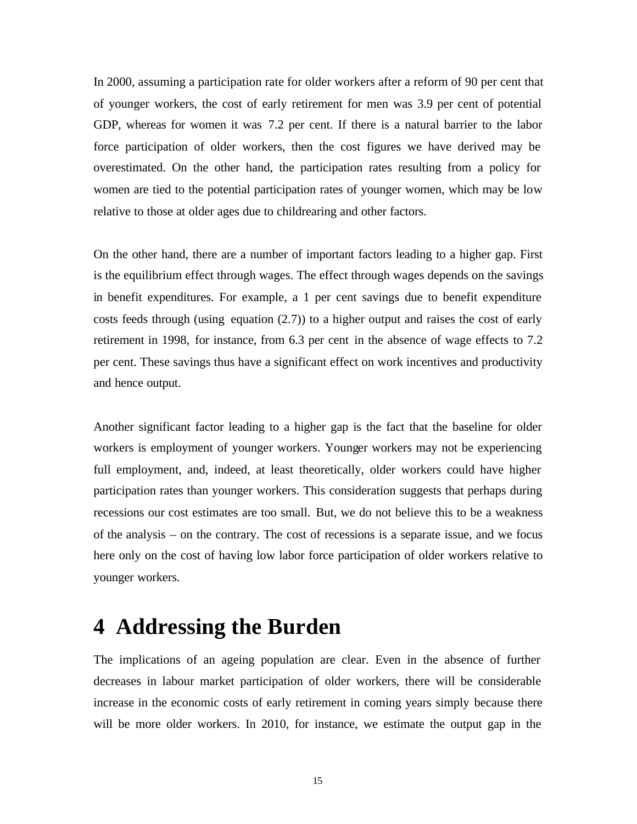In 2000, assuming a participation rate for older workers after a reform of 90 per cent that of younger workers, the cost of early retirement for men was 3.9 per cent of potential GDP, whereas for women it was 7.2 per cent. If there is a natural barrier to the labor force participation of older workers, then the cost figures we have derived may be overestimated. On the other hand, the participation rates resulting from a policy for women are tied to the potential participation rates of younger women, which may be low relative to those at older ages due to childrearing and other factors.

On the other hand, there are a number of important factors leading to a higher gap. First is the equilibrium effect through wages. The effect through wages depends on the savings in benefit expenditures. For example, a 1 per cent savings due to benefit expenditure costs feeds through (using equation (2.7)) to a higher output and raises the cost of early retirement in 1998, for instance, from 6.3 per cent in the absence of wage effects to 7.2 per cent. These savings thus have a significant effect on work incentives and productivity and hence output.

Another significant factor leading to a higher gap is the fact that the baseline for older workers is employment of younger workers. Younger workers may not be experiencing full employment, and, indeed, at least theoretically, older workers could have higher participation rates than younger workers. This consideration suggests that perhaps during recessions our cost estimates are too small. But, we do not believe this to be a weakness of the analysis – on the contrary. The cost of recessions is a separate issue, and we focus here only on the cost of having low labor force participation of older workers relative to younger workers.

### **4 Addressing the Burden**

The implications of an ageing population are clear. Even in the absence of further decreases in labour market participation of older workers, there will be considerable increase in the economic costs of early retirement in coming years simply because there will be more older workers. In 2010, for instance, we estimate the output gap in the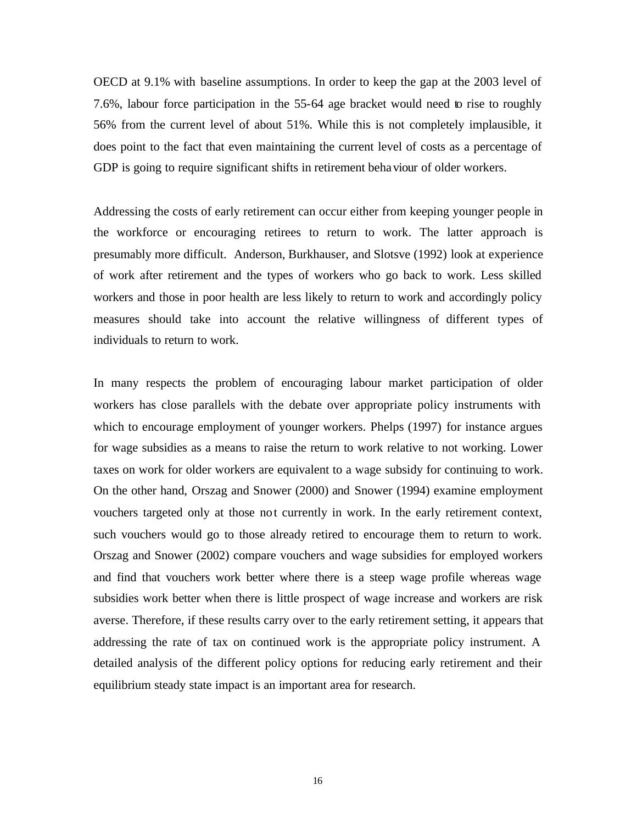OECD at 9.1% with baseline assumptions. In order to keep the gap at the 2003 level of 7.6%, labour force participation in the 55-64 age bracket would need to rise to roughly 56% from the current level of about 51%. While this is not completely implausible, it does point to the fact that even maintaining the current level of costs as a percentage of GDP is going to require significant shifts in retirement behaviour of older workers.

Addressing the costs of early retirement can occur either from keeping younger people in the workforce or encouraging retirees to return to work. The latter approach is presumably more difficult. Anderson, Burkhauser, and Slotsve (1992) look at experience of work after retirement and the types of workers who go back to work. Less skilled workers and those in poor health are less likely to return to work and accordingly policy measures should take into account the relative willingness of different types of individuals to return to work.

In many respects the problem of encouraging labour market participation of older workers has close parallels with the debate over appropriate policy instruments with which to encourage employment of younger workers. Phelps (1997) for instance argues for wage subsidies as a means to raise the return to work relative to not working. Lower taxes on work for older workers are equivalent to a wage subsidy for continuing to work. On the other hand, Orszag and Snower (2000) and Snower (1994) examine employment vouchers targeted only at those not currently in work. In the early retirement context, such vouchers would go to those already retired to encourage them to return to work. Orszag and Snower (2002) compare vouchers and wage subsidies for employed workers and find that vouchers work better where there is a steep wage profile whereas wage subsidies work better when there is little prospect of wage increase and workers are risk averse. Therefore, if these results carry over to the early retirement setting, it appears that addressing the rate of tax on continued work is the appropriate policy instrument. A detailed analysis of the different policy options for reducing early retirement and their equilibrium steady state impact is an important area for research.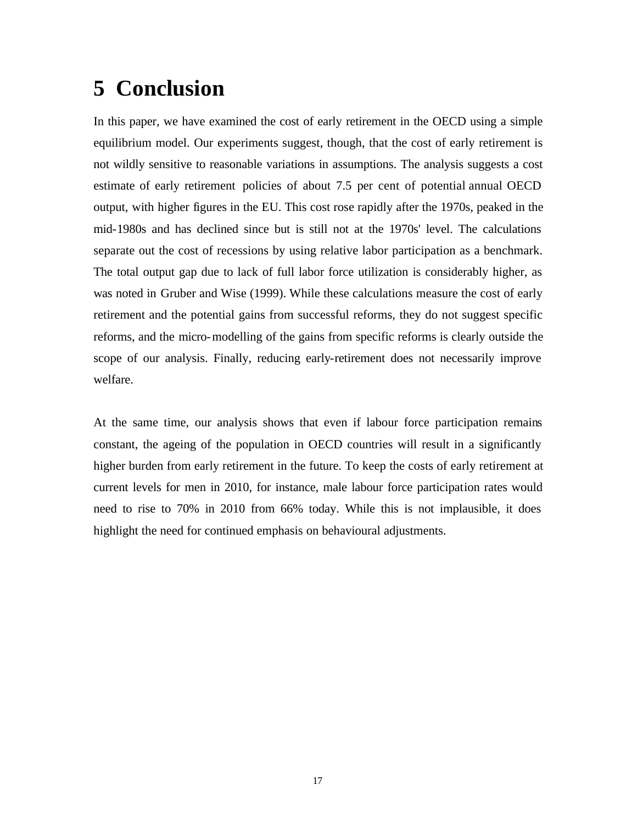### **5 Conclusion**

In this paper, we have examined the cost of early retirement in the OECD using a simple equilibrium model. Our experiments suggest, though, that the cost of early retirement is not wildly sensitive to reasonable variations in assumptions. The analysis suggests a cost estimate of early retirement policies of about 7.5 per cent of potential annual OECD output, with higher figures in the EU. This cost rose rapidly after the 1970s, peaked in the mid-1980s and has declined since but is still not at the 1970s' level. The calculations separate out the cost of recessions by using relative labor participation as a benchmark. The total output gap due to lack of full labor force utilization is considerably higher, as was noted in Gruber and Wise (1999). While these calculations measure the cost of early retirement and the potential gains from successful reforms, they do not suggest specific reforms, and the micro-modelling of the gains from specific reforms is clearly outside the scope of our analysis. Finally, reducing early-retirement does not necessarily improve welfare.

At the same time, our analysis shows that even if labour force participation remains constant, the ageing of the population in OECD countries will result in a significantly higher burden from early retirement in the future. To keep the costs of early retirement at current levels for men in 2010, for instance, male labour force participation rates would need to rise to 70% in 2010 from 66% today. While this is not implausible, it does highlight the need for continued emphasis on behavioural adjustments.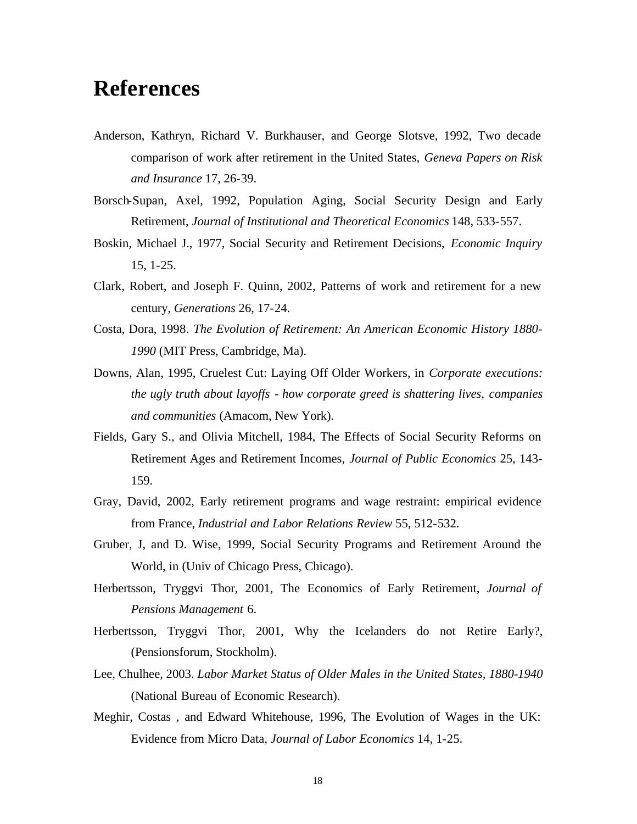### **References**

- Anderson, Kathryn, Richard V. Burkhauser, and George Slotsve, 1992, Two decade comparison of work after retirement in the United States, *Geneva Papers on Risk and Insurance* 17, 26-39.
- Borsch-Supan, Axel, 1992, Population Aging, Social Security Design and Early Retirement, *Journal of Institutional and Theoretical Economics* 148, 533-557.
- Boskin, Michael J., 1977, Social Security and Retirement Decisions, *Economic Inquiry* 15, 1-25.
- Clark, Robert, and Joseph F. Quinn, 2002, Patterns of work and retirement for a new century, *Generations* 26, 17-24.
- Costa, Dora, 1998. *The Evolution of Retirement: An American Economic History 1880- 1990* (MIT Press, Cambridge, Ma).
- Downs, Alan, 1995, Cruelest Cut: Laying Off Older Workers, in *Corporate executions: the ugly truth about layoffs - how corporate greed is shattering lives, companies and communities* (Amacom, New York).
- Fields, Gary S., and Olivia Mitchell, 1984, The Effects of Social Security Reforms on Retirement Ages and Retirement Incomes, *Journal of Public Economics* 25, 143- 159.
- Gray, David, 2002, Early retirement programs and wage restraint: empirical evidence from France, *Industrial and Labor Relations Review* 55, 512-532.
- Gruber, J, and D. Wise, 1999, Social Security Programs and Retirement Around the World, in (Univ of Chicago Press, Chicago).
- Herbertsson, Tryggvi Thor, 2001, The Economics of Early Retirement, *Journal of Pensions Management* 6.
- Herbertsson, Tryggvi Thor, 2001, Why the Icelanders do not Retire Early?, (Pensionsforum, Stockholm).
- Lee, Chulhee, 2003. *Labor Market Status of Older Males in the United States, 1880-1940* (National Bureau of Economic Research).
- Meghir, Costas , and Edward Whitehouse, 1996, The Evolution of Wages in the UK: Evidence from Micro Data, *Journal of Labor Economics* 14, 1-25.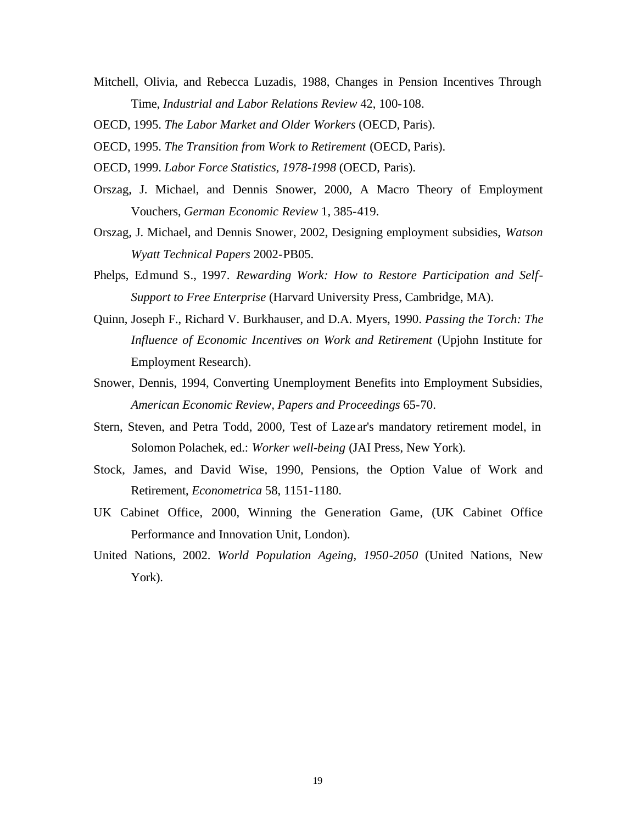- Mitchell, Olivia, and Rebecca Luzadis, 1988, Changes in Pension Incentives Through Time, *Industrial and Labor Relations Review* 42, 100-108.
- OECD, 1995. *The Labor Market and Older Workers* (OECD, Paris).
- OECD, 1995. *The Transition from Work to Retirement* (OECD, Paris).
- OECD, 1999. *Labor Force Statistics, 1978-1998* (OECD, Paris).
- Orszag, J. Michael, and Dennis Snower, 2000, A Macro Theory of Employment Vouchers, *German Economic Review* 1, 385-419.
- Orszag, J. Michael, and Dennis Snower, 2002, Designing employment subsidies, *Watson Wyatt Technical Papers* 2002-PB05.
- Phelps, Edmund S., 1997. *Rewarding Work: How to Restore Participation and Self-Support to Free Enterprise* (Harvard University Press, Cambridge, MA).
- Quinn, Joseph F., Richard V. Burkhauser, and D.A. Myers, 1990. *Passing the Torch: The Influence of Economic Incentives on Work and Retirement* (Upjohn Institute for Employment Research).
- Snower, Dennis, 1994, Converting Unemployment Benefits into Employment Subsidies, *American Economic Review, Papers and Proceedings* 65-70.
- Stern, Steven, and Petra Todd, 2000, Test of Laze ar's mandatory retirement model, in Solomon Polachek, ed.: *Worker well-being* (JAI Press, New York).
- Stock, James, and David Wise, 1990, Pensions, the Option Value of Work and Retirement, *Econometrica* 58, 1151-1180.
- UK Cabinet Office, 2000, Winning the Generation Game, (UK Cabinet Office Performance and Innovation Unit, London).
- United Nations, 2002. *World Population Ageing, 1950-2050* (United Nations, New York).